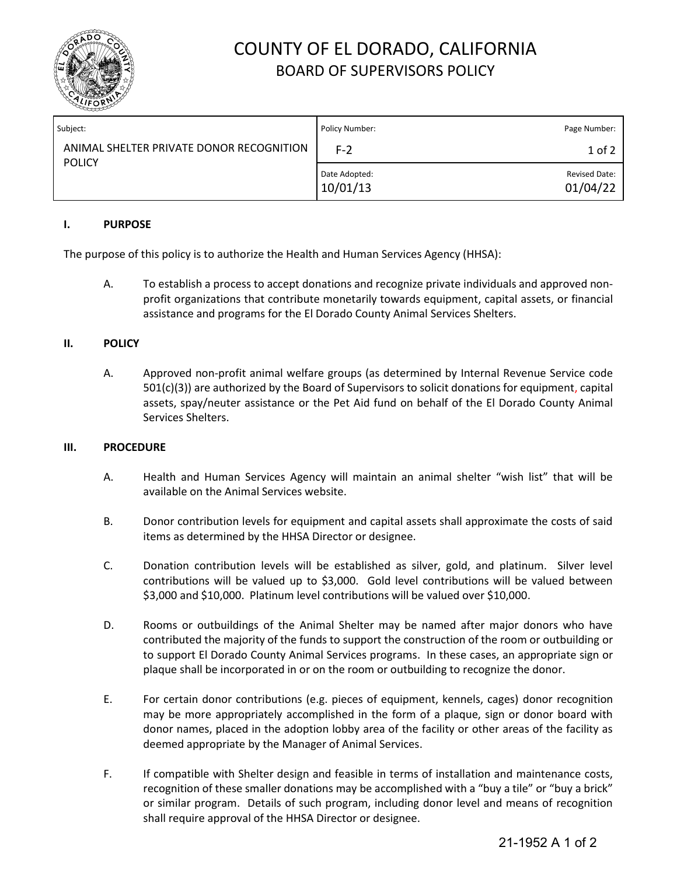

## COUNTY OF EL DORADO, CALIFORNIA BOARD OF SUPERVISORS POLICY

| Subject:                                                  | Policy Number:            | Page Number:                     |
|-----------------------------------------------------------|---------------------------|----------------------------------|
| ANIMAL SHELTER PRIVATE DONOR RECOGNITION<br><b>POLICY</b> | F-2                       | 1 of 2                           |
|                                                           | Date Adopted:<br>10/01/13 | <b>Revised Date:</b><br>01/04/22 |

### **I. PURPOSE**

The purpose of this policy is to authorize the Health and Human Services Agency (HHSA):

A. To establish a process to accept donations and recognize private individuals and approved nonprofit organizations that contribute monetarily towards equipment, capital assets, or financial assistance and programs for the El Dorado County Animal Services Shelters.

### **II. POLICY**

A. Approved non-profit animal welfare groups (as determined by Internal Revenue Service code 501(c)(3)) are authorized by the Board of Supervisors to solicit donations for equipment, capital assets, spay/neuter assistance or the Pet Aid fund on behalf of the El Dorado County Animal Services Shelters.

### **III. PROCEDURE**

- A. Health and Human Services Agency will maintain an animal shelter "wish list" that will be available on the Animal Services website.
- B. Donor contribution levels for equipment and capital assets shall approximate the costs of said items as determined by the HHSA Director or designee.
- C. Donation contribution levels will be established as silver, gold, and platinum. Silver level contributions will be valued up to \$3,000. Gold level contributions will be valued between \$3,000 and \$10,000. Platinum level contributions will be valued over \$10,000.
- D. Rooms or outbuildings of the Animal Shelter may be named after major donors who have contributed the majority of the funds to support the construction of the room or outbuilding or to support El Dorado County Animal Services programs. In these cases, an appropriate sign or plaque shall be incorporated in or on the room or outbuilding to recognize the donor.
- E. For certain donor contributions (e.g. pieces of equipment, kennels, cages) donor recognition may be more appropriately accomplished in the form of a plaque, sign or donor board with donor names, placed in the adoption lobby area of the facility or other areas of the facility as deemed appropriate by the Manager of Animal Services.
- F. If compatible with Shelter design and feasible in terms of installation and maintenance costs, recognition of these smaller donations may be accomplished with a "buy a tile" or "buy a brick" or similar program. Details of such program, including donor level and means of recognition shall require approval of the HHSA Director or designee.